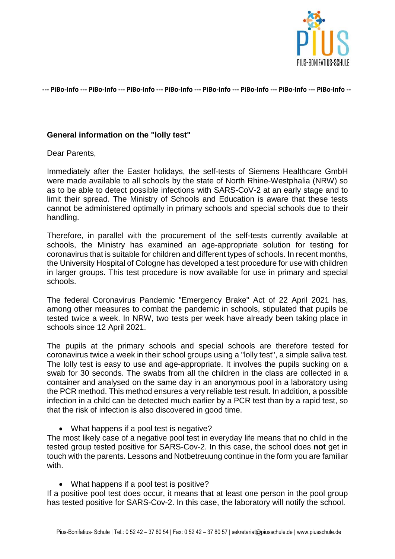

**--- PiBo-Info --- PiBo-Info --- PiBo-Info --- PiBo-Info --- PiBo-Info --- PiBo-Info --- PiBo-Info --- PiBo-Info --**

## **General information on the "lolly test"**

Dear Parents,

Immediately after the Easter holidays, the self-tests of Siemens Healthcare GmbH were made available to all schools by the state of North Rhine-Westphalia (NRW) so as to be able to detect possible infections with SARS-CoV-2 at an early stage and to limit their spread. The Ministry of Schools and Education is aware that these tests cannot be administered optimally in primary schools and special schools due to their handling.

Therefore, in parallel with the procurement of the self-tests currently available at schools, the Ministry has examined an age-appropriate solution for testing for coronavirus that is suitable for children and different types of schools. In recent months, the University Hospital of Cologne has developed a test procedure for use with children in larger groups. This test procedure is now available for use in primary and special schools.

The federal Coronavirus Pandemic "Emergency Brake" Act of 22 April 2021 has, among other measures to combat the pandemic in schools, stipulated that pupils be tested twice a week. In NRW, two tests per week have already been taking place in schools since 12 April 2021.

The pupils at the primary schools and special schools are therefore tested for coronavirus twice a week in their school groups using a "lolly test", a simple saliva test. The lolly test is easy to use and age-appropriate. It involves the pupils sucking on a swab for 30 seconds. The swabs from all the children in the class are collected in a container and analysed on the same day in an anonymous pool in a laboratory using the PCR method. This method ensures a very reliable test result. In addition, a possible infection in a child can be detected much earlier by a PCR test than by a rapid test, so that the risk of infection is also discovered in good time.

• What happens if a pool test is negative?

The most likely case of a negative pool test in everyday life means that no child in the tested group tested positive for SARS-Cov-2. In this case, the school does **not** get in touch with the parents. Lessons and Notbetreuung continue in the form you are familiar with.

• What happens if a pool test is positive?

If a positive pool test does occur, it means that at least one person in the pool group has tested positive for SARS-Cov-2. In this case, the laboratory will notify the school.